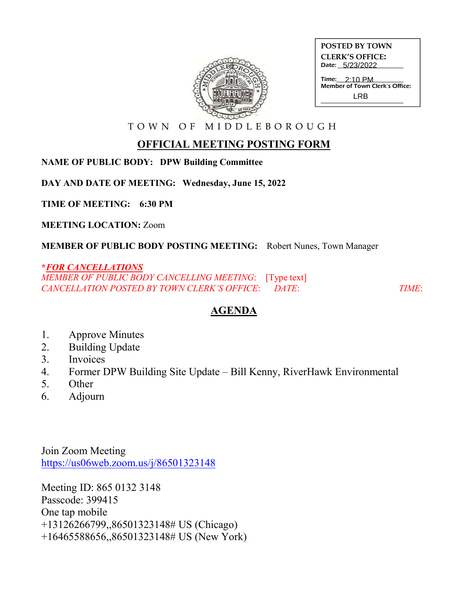

| <b>POSTED BY TOWN</b>                                            |
|------------------------------------------------------------------|
| <b>CLERK'S OFFICE:</b><br>Date: 5/23/2022                        |
| Time: $2.10 \text{ PM}$<br><b>Member of Town Clerk's Office:</b> |

LRB

T O W N O F M I D D L E B O R O U G H

## **OFFICIAL MEETING POSTING FORM**

**NAME OF PUBLIC BODY: DPW Building Committee**

**DAY AND DATE OF MEETING: Wednesday, June 15, 2022**

**TIME OF MEETING: 6:30 PM**

**MEETING LOCATION:** Zoom

**MEMBER OF PUBLIC BODY POSTING MEETING:** Robert Nunes, Town Manager

## **\****FOR CANCELLATIONS*

*MEMBER OF PUBLIC BODY CANCELLING MEETING*: [Type text] *CANCELLATION POSTED BY TOWN CLERK'S OFFICE*: *DATE*: *TIME*:

## **AGENDA**

- 1. Approve Minutes
- 2. Building Update
- 3. Invoices
- 4. Former DPW Building Site Update Bill Kenny, RiverHawk Environmental
- 5. Other
- 6. Adjourn

Join Zoom Meeting https://us06web.zoom.us/j/86501323148

Meeting ID: 865 0132 3148 Passcode: 399415 One tap mobile +13126266799,,86501323148# US (Chicago) +16465588656,,86501323148# US (New York)